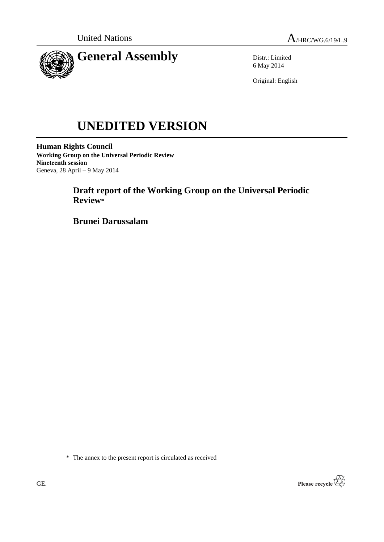

Distr.: Limited 6 May 2014

Original: English

# **UNEDITED VERSION**

**Human Rights Council Working Group on the Universal Periodic Review Nineteenth session** Geneva, 28 April – 9 May 2014

# **Draft report of the Working Group on the Universal Periodic Review\***

**Brunei Darussalam**

\* The annex to the present report is circulated as received

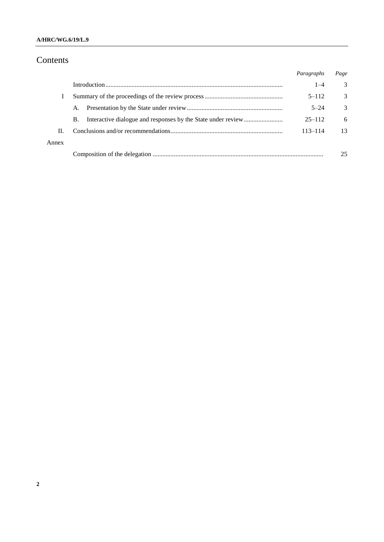## **A/HRC/WG.6/19/L.9**

# Contents

|       |           | Paragraphs  | Page          |
|-------|-----------|-------------|---------------|
|       |           | $1 - 4$     | 3             |
|       |           | $5 - 112$   | 3             |
|       | A.        | $5 - 24$    | $\mathcal{R}$ |
|       | <b>B.</b> | $25 - 112$  | 6             |
| H.    |           | $113 - 114$ | 13            |
| Annex |           |             |               |
|       |           |             | 25            |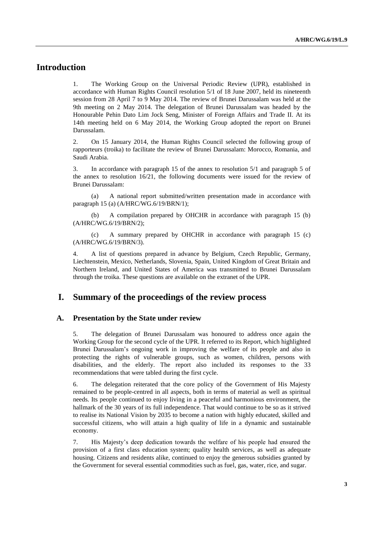## **Introduction**

1. The Working Group on the Universal Periodic Review (UPR), established in accordance with Human Rights Council resolution 5/1 of 18 June 2007, held its nineteenth session from 28 April 7 to 9 May 2014. The review of Brunei Darussalam was held at the 9th meeting on 2 May 2014. The delegation of Brunei Darussalam was headed by the Honourable Pehin Dato Lim Jock Seng, Minister of Foreign Affairs and Trade II. At its 14th meeting held on 6 May 2014, the Working Group adopted the report on Brunei Darussalam.

2. On 15 January 2014, the Human Rights Council selected the following group of rapporteurs (troika) to facilitate the review of Brunei Darussalam: Morocco, Romania, and Saudi Arabia.

3. In accordance with paragraph 15 of the annex to resolution 5/1 and paragraph 5 of the annex to resolution 16/21, the following documents were issued for the review of Brunei Darussalam:

(a) A national report submitted/written presentation made in accordance with paragraph 15 (a) (A/HRC/WG.6/19/BRN/1);

(b) A compilation prepared by OHCHR in accordance with paragraph 15 (b) (A/HRC/WG.6/19/BRN/2);

(c) A summary prepared by OHCHR in accordance with paragraph 15 (c) (A/HRC/WG.6/19/BRN/3).

4. A list of questions prepared in advance by Belgium, Czech Republic, Germany, Liechtenstein, Mexico, Netherlands, Slovenia, Spain, United Kingdom of Great Britain and Northern Ireland, and United States of America was transmitted to Brunei Darussalam through the troika. These questions are available on the extranet of the UPR.

## **I. Summary of the proceedings of the review process**

#### **A. Presentation by the State under review**

5. The delegation of Brunei Darussalam was honoured to address once again the Working Group for the second cycle of the UPR. It referred to its Report, which highlighted Brunei Darussalam's ongoing work in improving the welfare of its people and also in protecting the rights of vulnerable groups, such as women, children, persons with disabilities, and the elderly. The report also included its responses to the 33 recommendations that were tabled during the first cycle.

6. The delegation reiterated that the core policy of the Government of His Majesty remained to be people-centred in all aspects, both in terms of material as well as spiritual needs. Its people continued to enjoy living in a peaceful and harmonious environment, the hallmark of the 30 years of its full independence. That would continue to be so as it strived to realise its National Vision by 2035 to become a nation with highly educated, skilled and successful citizens, who will attain a high quality of life in a dynamic and sustainable economy.

7. His Majesty's deep dedication towards the welfare of his people had ensured the provision of a first class education system; quality health services, as well as adequate housing. Citizens and residents alike, continued to enjoy the generous subsidies granted by the Government for several essential commodities such as fuel, gas, water, rice, and sugar.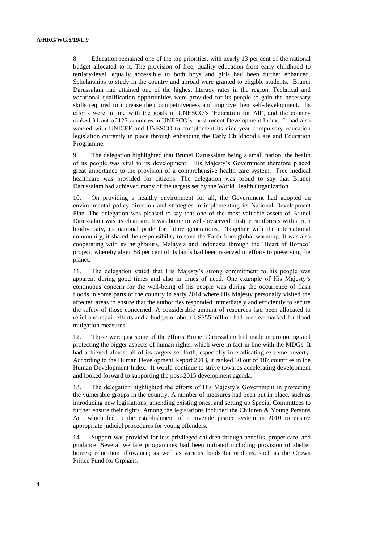8. Education remained one of the top priorities, with nearly 13 per cent of the national budget allocated to it. The provision of free, quality education from early childhood to tertiary-level, equally accessible to both boys and girls had been further enhanced. Scholarships to study in the country and abroad were granted to eligible students. Brunei Darussalam had attained one of the highest literacy rates in the region. Technical and vocational qualification opportunities were provided for its people to gain the necessary skills required to increase their competitiveness and improve their self-development. Its efforts were in line with the goals of UNESCO's 'Education for All', and the country ranked 34 out of 127 countries in UNESCO's most recent Development Index. It had also worked with UNICEF and UNESCO to complement its nine-year compulsory education legislation currently in place through enhancing the Early Childhood Care and Education Programme.

9. The delegation highlighted that Brunei Darussalam being a small nation, the health of its people was vital to its development. His Majesty's Government therefore placed great importance to the provision of a comprehensive health care system. Free medical healthcare was provided for citizens. The delegation was proud to say that Brunei Darussalam had achieved many of the targets set by the World Health Organization.

10. On providing a healthy environment for all, the Government had adopted an environmental policy direction and strategies in implementing its National Development Plan. The delegation was pleased to say that one of the most valuable assets of Brunei Darussalam was its clean air. It was home to well-preserved pristine rainforests with a rich biodiversity, its national pride for future generations. Together with the international community, it shared the responsibility to save the Earth from global warming. It was also cooperating with its neighbours, Malaysia and Indonesia through the 'Heart of Borneo' project, whereby about 58 per cent of its lands had been reserved in efforts to preserving the planet.

11. The delegation stated that His Majesty's strong commitment to his people was apparent during good times and also in times of need. One example of His Majesty's continuous concern for the well-being of his people was during the occurrence of flash floods in some parts of the country in early 2014 where His Majesty personally visited the affected areas to ensure that the authorities responded immediately and efficiently to secure the safety of those concerned. A considerable amount of resources had been allocated to relief and repair efforts and a budget of about US\$55 million had been earmarked for flood mitigation measures.

12. Those were just some of the efforts Brunei Darussalam had made in promoting and protecting the bigger aspects of human rights, which were in fact in line with the MDGs. It had achieved almost all of its targets set forth, especially in eradicating extreme poverty. According to the Human Development Report 2013, it ranked 30 out of 187 countries in the Human Development Index. It would continue to strive towards accelerating development and looked forward to supporting the post-2015 development agenda.

13. The delegation highlighted the efforts of His Majesty's Government in protecting the vulnerable groups in the country. A number of measures had been put in place, such as introducing new legislations, amending existing ones, and setting up Special Committees to further ensure their rights. Among the legislations included the Children & Young Persons Act, which led to the establishment of a juvenile justice system in 2010 to ensure appropriate judicial procedures for young offenders.

14. Support was provided for less privileged children through benefits, proper care, and guidance. Several welfare programmes had been initiated including provision of shelter homes; education allowance; as well as various funds for orphans, such as the Crown Prince Fund for Orphans.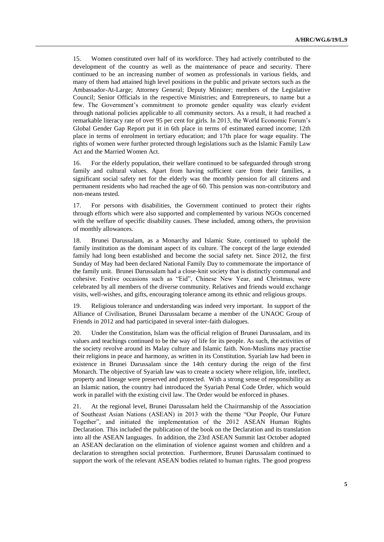15. Women constituted over half of its workforce. They had actively contributed to the development of the country as well as the maintenance of peace and security. There continued to be an increasing number of women as professionals in various fields, and many of them had attained high level positions in the public and private sectors such as the Ambassador-At-Large; Attorney General; Deputy Minister; members of the Legislative Council; Senior Officials in the respective Ministries; and Entrepreneurs, to name but a few. The Government's commitment to promote gender equality was clearly evident through national policies applicable to all community sectors. As a result, it had reached a remarkable literacy rate of over 95 per cent for girls. In 2013, the World Economic Forum's Global Gender Gap Report put it in 6th place in terms of estimated earned income; 12th place in terms of enrolment in tertiary education; and 17th place for wage equality. The rights of women were further protected through legislations such as the Islamic Family Law Act and the Married Women Act.

16. For the elderly population, their welfare continued to be safeguarded through strong family and cultural values. Apart from having sufficient care from their families, a significant social safety net for the elderly was the monthly pension for all citizens and permanent residents who had reached the age of 60. This pension was non-contributory and non-means tested.

17. For persons with disabilities, the Government continued to protect their rights through efforts which were also supported and complemented by various NGOs concerned with the welfare of specific disability causes. These included, among others, the provision of monthly allowances.

18. Brunei Darussalam, as a Monarchy and Islamic State, continued to uphold the family institution as the dominant aspect of its culture. The concept of the large extended family had long been established and become the social safety net. Since 2012, the first Sunday of May had been declared National Family Day to commemorate the importance of the family unit. Brunei Darussalam had a close-knit society that is distinctly communal and cohesive. Festive occasions such as "Eid", Chinese New Year, and Christmas, were celebrated by all members of the diverse community. Relatives and friends would exchange visits, well-wishes, and gifts, encouraging tolerance among its ethnic and religious groups.

19. Religious tolerance and understanding was indeed very important. In support of the Alliance of Civilisation, Brunei Darussalam became a member of the UNAOC Group of Friends in 2012 and had participated in several inter-faith dialogues.

20. Under the Constitution, Islam was the official religion of Brunei Darussalam, and its values and teachings continued to be the way of life for its people. As such, the activities of the society revolve around its Malay culture and Islamic faith. Non-Muslims may practise their religions in peace and harmony, as written in its Constitution. Syariah law had been in existence in Brunei Darussalam since the 14th century during the reign of the first Monarch. The objective of Syariah law was to create a society where religion, life, intellect, property and lineage were preserved and protected. With a strong sense of responsibility as an Islamic nation, the country had introduced the Syariah Penal Code Order, which would work in parallel with the existing civil law. The Order would be enforced in phases.

21. At the regional level, Brunei Darussalam held the Chairmanship of the Association of Southeast Asian Nations (ASEAN) in 2013 with the theme "Our People, Our Future Together", and initiated the implementation of the 2012 ASEAN Human Rights Declaration. This included the publication of the book on the Declaration and its translation into all the ASEAN languages. In addition, the 23rd ASEAN Summit last October adopted an ASEAN declaration on the elimination of violence against women and children and a declaration to strengthen social protection. Furthermore, Brunei Darussalam continued to support the work of the relevant ASEAN bodies related to human rights. The good progress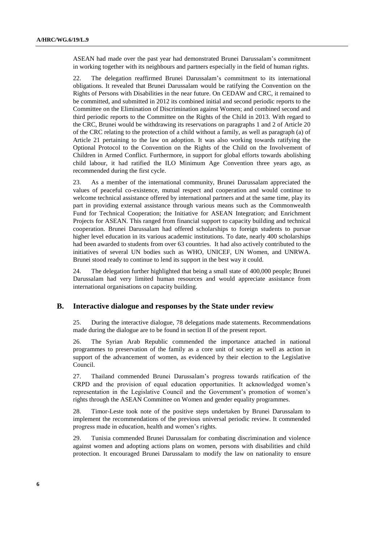ASEAN had made over the past year had demonstrated Brunei Darussalam's commitment in working together with its neighbours and partners especially in the field of human rights.

22. The delegation reaffirmed Brunei Darussalam's commitment to its international obligations. It revealed that Brunei Darussalam would be ratifying the Convention on the Rights of Persons with Disabilities in the near future. On CEDAW and CRC, it remained to be committed, and submitted in 2012 its combined initial and second periodic reports to the Committee on the Elimination of Discrimination against Women; and combined second and third periodic reports to the Committee on the Rights of the Child in 2013. With regard to the CRC, Brunei would be withdrawing its reservations on paragraphs 1 and 2 of Article 20 of the CRC relating to the protection of a child without a family, as well as paragraph (a) of Article 21 pertaining to the law on adoption. It was also working towards ratifying the Optional Protocol to the Convention on the Rights of the Child on the Involvement of Children in Armed Conflict. Furthermore, in support for global efforts towards abolishing child labour, it had ratified the ILO Minimum Age Convention three years ago, as recommended during the first cycle.

23. As a member of the international community, Brunei Darussalam appreciated the values of peaceful co-existence, mutual respect and cooperation and would continue to welcome technical assistance offered by international partners and at the same time, play its part in providing external assistance through various means such as the Commonwealth Fund for Technical Cooperation; the Initiative for ASEAN Integration; and Enrichment Projects for ASEAN. This ranged from financial support to capacity building and technical cooperation. Brunei Darussalam had offered scholarships to foreign students to pursue higher level education in its various academic institutions. To date, nearly 400 scholarships had been awarded to students from over 63 countries. It had also actively contributed to the initiatives of several UN bodies such as WHO, UNICEF, UN Women, and UNRWA. Brunei stood ready to continue to lend its support in the best way it could.

24. The delegation further highlighted that being a small state of 400,000 people; Brunei Darussalam had very limited human resources and would appreciate assistance from international organisations on capacity building.

## **B. Interactive dialogue and responses by the State under review**

25. During the interactive dialogue, 78 delegations made statements. Recommendations made during the dialogue are to be found in section II of the present report.

26. The Syrian Arab Republic commended the importance attached in national programmes to preservation of the family as a core unit of society as well as action in support of the advancement of women, as evidenced by their election to the Legislative Council.

27. Thailand commended Brunei Darussalam's progress towards ratification of the CRPD and the provision of equal education opportunities. It acknowledged women's representation in the Legislative Council and the Government's promotion of women's rights through the ASEAN Committee on Women and gender equality programmes.

28. Timor-Leste took note of the positive steps undertaken by Brunei Darussalam to implement the recommendations of the previous universal periodic review. It commended progress made in education, health and women's rights.

29. Tunisia commended Brunei Darussalam for combating discrimination and violence against women and adopting actions plans on women, persons with disabilities and child protection. It encouraged Brunei Darussalam to modify the law on nationality to ensure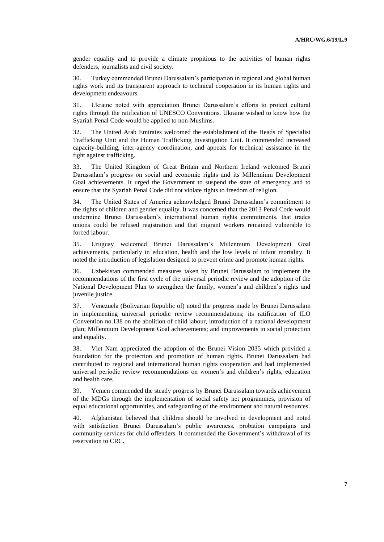gender equality and to provide a climate propitious to the activities of human rights defenders, journalists and civil society.

30. Turkey commended Brunei Darussalam's participation in regional and global human rights work and its transparent approach to technical cooperation in its human rights and development endeavours.

31. Ukraine noted with appreciation Brunei Darussalam's efforts to protect cultural rights through the ratification of UNESCO Conventions. Ukraine wished to know how the Syariah Penal Code would be applied to non-Muslims.

32. The United Arab Emirates welcomed the establishment of the Heads of Specialist Trafficking Unit and the Human Trafficking Investigation Unit. It commended increased capacity-building, inter-agency coordination, and appeals for technical assistance in the fight against trafficking.

33. The United Kingdom of Great Britain and Northern Ireland welcomed Brunei Darussalam's progress on social and economic rights and its Millennium Development Goal achievements. It urged the Government to suspend the state of emergency and to ensure that the Syariah Penal Code did not violate rights to freedom of religion.

34. The United States of America acknowledged Brunei Darussalam's commitment to the rights of children and gender equality. It was concerned that the 2013 Penal Code would undermine Brunei Darussalam's international human rights commitments, that trades unions could be refused registration and that migrant workers remained vulnerable to forced labour.

35. Uruguay welcomed Brunei Darussalam's Millennium Development Goal achievements, particularly in education, health and the low levels of infant mortality. It noted the introduction of legislation designed to prevent crime and promote human rights.

36. Uzbekistan commended measures taken by Brunei Darussalam to implement the recommendations of the first cycle of the universal periodic review and the adoption of the National Development Plan to strengthen the family, women's and children's rights and juvenile justice.

37. Venezuela (Bolivarian Republic of) noted the progress made by Brunei Darussalam in implementing universal periodic review recommendations; its ratification of ILO Convention no.138 on the abolition of child labour, introduction of a national development plan; Millennium Development Goal achievements; and improvements in social protection and equality.

38. Viet Nam appreciated the adoption of the Brunei Vision 2035 which provided a foundation for the protection and promotion of human rights. Brunei Darussalam had contributed to regional and international human rights cooperation and had implemented universal periodic review recommendations on women's and children's rights, education and health care.

39. Yemen commended the steady progress by Brunei Darussalam towards achievement of the MDGs through the implementation of social safety net programmes, provision of equal educational opportunities, and safeguarding of the environment and natural resources.

40. Afghanistan believed that children should be involved in development and noted with satisfaction Brunei Darussalam's public awareness, probation campaigns and community services for child offenders. It commended the Government's withdrawal of its reservation to CRC.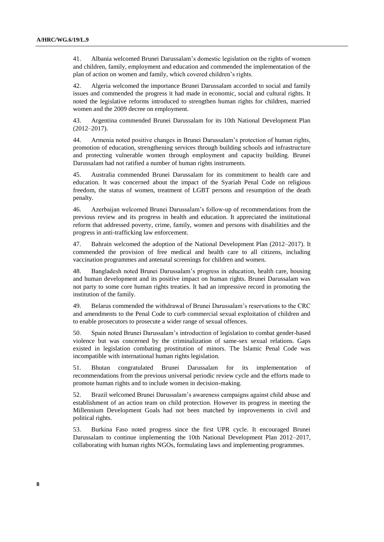41. Albania welcomed Brunei Darussalam's domestic legislation on the rights of women and children, family, employment and education and commended the implementation of the plan of action on women and family, which covered children's rights.

42. Algeria welcomed the importance Brunei Darussalam accorded to social and family issues and commended the progress it had made in economic, social and cultural rights. It noted the legislative reforms introduced to strengthen human rights for children, married women and the 2009 decree on employment.

43. Argentina commended Brunei Darussalam for its 10th National Development Plan (2012–2017).

44. Armenia noted positive changes in Brunei Darussalam's protection of human rights, promotion of education, strengthening services through building schools and infrastructure and protecting vulnerable women through employment and capacity building. Brunei Darussalam had not ratified a number of human rights instruments.

45. Australia commended Brunei Darussalam for its commitment to health care and education. It was concerned about the impact of the Syariah Penal Code on religious freedom, the status of women, treatment of LGBT persons and resumption of the death penalty.

46. Azerbaijan welcomed Brunei Darussalam's follow-up of recommendations from the previous review and its progress in health and education. It appreciated the institutional reform that addressed poverty, crime, family, women and persons with disabilities and the progress in anti-trafficking law enforcement.

47. Bahrain welcomed the adoption of the National Development Plan (2012–2017). It commended the provision of free medical and health care to all citizens, including vaccination programmes and antenatal screenings for children and women.

48. Bangladesh noted Brunei Darussalam's progress in education, health care, housing and human development and its positive impact on human rights. Brunei Darussalam was not party to some core human rights treaties. It had an impressive record in promoting the institution of the family.

49. Belarus commended the withdrawal of Brunei Darussalam's reservations to the CRC and amendments to the Penal Code to curb commercial sexual exploitation of children and to enable prosecutors to prosecute a wider range of sexual offences.

50. Spain noted Brunei Darussalam's introduction of legislation to combat gender-based violence but was concerned by the criminalization of same-sex sexual relations. Gaps existed in legislation combating prostitution of minors. The Islamic Penal Code was incompatible with international human rights legislation.

51. Bhutan congratulated Brunei Darussalam for its implementation of recommendations from the previous universal periodic review cycle and the efforts made to promote human rights and to include women in decision-making.

52. Brazil welcomed Brunei Darussalam's awareness campaigns against child abuse and establishment of an action team on child protection. However its progress in meeting the Millennium Development Goals had not been matched by improvements in civil and political rights.

53. Burkina Faso noted progress since the first UPR cycle. It encouraged Brunei Darussalam to continue implementing the 10th National Development Plan 2012–2017, collaborating with human rights NGOs, formulating laws and implementing programmes.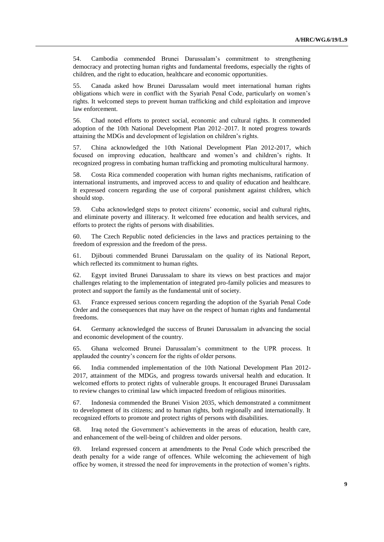54. Cambodia commended Brunei Darussalam's commitment to strengthening democracy and protecting human rights and fundamental freedoms, especially the rights of children, and the right to education, healthcare and economic opportunities.

55. Canada asked how Brunei Darussalam would meet international human rights obligations which were in conflict with the Syariah Penal Code, particularly on women's rights. It welcomed steps to prevent human trafficking and child exploitation and improve law enforcement.

56. Chad noted efforts to protect social, economic and cultural rights. It commended adoption of the 10th National Development Plan 2012–2017. It noted progress towards attaining the MDGs and development of legislation on children's rights.

57. China acknowledged the 10th National Development Plan 2012-2017, which focused on improving education, healthcare and women's and children's rights. It recognized progress in combating human trafficking and promoting multicultural harmony.

58. Costa Rica commended cooperation with human rights mechanisms, ratification of international instruments, and improved access to and quality of education and healthcare. It expressed concern regarding the use of corporal punishment against children, which should stop.

59. Cuba acknowledged steps to protect citizens' economic, social and cultural rights, and eliminate poverty and illiteracy. It welcomed free education and health services, and efforts to protect the rights of persons with disabilities.

60. The Czech Republic noted deficiencies in the laws and practices pertaining to the freedom of expression and the freedom of the press.

61. Djibouti commended Brunei Darussalam on the quality of its National Report, which reflected its commitment to human rights.

62. Egypt invited Brunei Darussalam to share its views on best practices and major challenges relating to the implementation of integrated pro-family policies and measures to protect and support the family as the fundamental unit of society.

63. France expressed serious concern regarding the adoption of the Syariah Penal Code Order and the consequences that may have on the respect of human rights and fundamental freedoms.

64. Germany acknowledged the success of Brunei Darussalam in advancing the social and economic development of the country.

65. Ghana welcomed Brunei Darussalam's commitment to the UPR process. It applauded the country's concern for the rights of older persons.

66. India commended implementation of the 10th National Development Plan 2012- 2017, attainment of the MDGs, and progress towards universal health and education. It welcomed efforts to protect rights of vulnerable groups. It encouraged Brunei Darussalam to review changes to criminal law which impacted freedom of religious minorities.

67. Indonesia commended the Brunei Vision 2035, which demonstrated a commitment to development of its citizens; and to human rights, both regionally and internationally. It recognized efforts to promote and protect rights of persons with disabilities.

68. Iraq noted the Government's achievements in the areas of education, health care, and enhancement of the well-being of children and older persons.

69. Ireland expressed concern at amendments to the Penal Code which prescribed the death penalty for a wide range of offences. While welcoming the achievement of high office by women, it stressed the need for improvements in the protection of women's rights.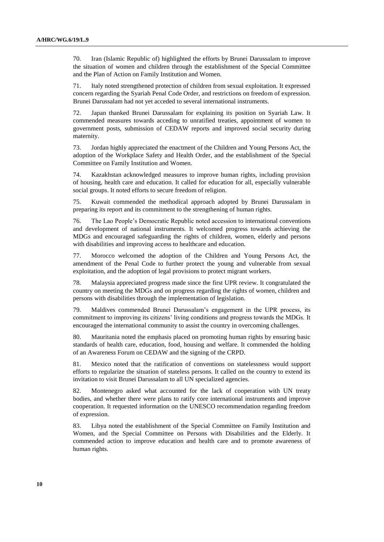70. Iran (Islamic Republic of) highlighted the efforts by Brunei Darussalam to improve the situation of women and children through the establishment of the Special Committee and the Plan of Action on Family Institution and Women.

71. Italy noted strengthened protection of children from sexual exploitation. It expressed concern regarding the Syariah Penal Code Order, and restrictions on freedom of expression. Brunei Darussalam had not yet acceded to several international instruments.

72. Japan thanked Brunei Darussalam for explaining its position on Syariah Law. It commended measures towards acceding to unratified treaties, appointment of women to government posts, submission of CEDAW reports and improved social security during maternity.

73. Jordan highly appreciated the enactment of the Children and Young Persons Act, the adoption of the Workplace Safety and Health Order, and the establishment of the Special Committee on Family Institution and Women.

74. Kazakhstan acknowledged measures to improve human rights, including provision of housing, health care and education. It called for education for all, especially vulnerable social groups. It noted efforts to secure freedom of religion.

75. Kuwait commended the methodical approach adopted by Brunei Darussalam in preparing its report and its commitment to the strengthening of human rights.

76. The Lao People's Democratic Republic noted accession to international conventions and development of national instruments. It welcomed progress towards achieving the MDGs and encouraged safeguarding the rights of children, women, elderly and persons with disabilities and improving access to healthcare and education.

77. Morocco welcomed the adoption of the Children and Young Persons Act, the amendment of the Penal Code to further protect the young and vulnerable from sexual exploitation, and the adoption of legal provisions to protect migrant workers.

78. Malaysia appreciated progress made since the first UPR review. It congratulated the country on meeting the MDGs and on progress regarding the rights of women, children and persons with disabilities through the implementation of legislation.

79. Maldives commended Brunei Darussalam's engagement in the UPR process, its commitment to improving its citizens' living conditions and progress towards the MDGs. It encouraged the international community to assist the country in overcoming challenges.

80. Mauritania noted the emphasis placed on promoting human rights by ensuring basic standards of health care, education, food, housing and welfare. It commended the holding of an Awareness Forum on CEDAW and the signing of the CRPD.

81. Mexico noted that the ratification of conventions on statelessness would support efforts to regularize the situation of stateless persons. It called on the country to extend its invitation to visit Brunei Darussalam to all UN specialized agencies.

82. Montenegro asked what accounted for the lack of cooperation with UN treaty bodies, and whether there were plans to ratify core international instruments and improve cooperation. It requested information on the UNESCO recommendation regarding freedom of expression.

83. Libya noted the establishment of the Special Committee on Family Institution and Women, and the Special Committee on Persons with Disabilities and the Elderly. It commended action to improve education and health care and to promote awareness of human rights.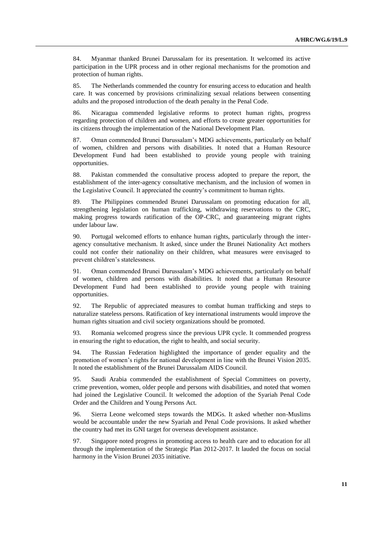84. Myanmar thanked Brunei Darussalam for its presentation. It welcomed its active participation in the UPR process and in other regional mechanisms for the promotion and protection of human rights.

85. The Netherlands commended the country for ensuring access to education and health care. It was concerned by provisions criminalizing sexual relations between consenting adults and the proposed introduction of the death penalty in the Penal Code.

86. Nicaragua commended legislative reforms to protect human rights, progress regarding protection of children and women, and efforts to create greater opportunities for its citizens through the implementation of the National Development Plan.

87. Oman commended Brunei Darussalam's MDG achievements, particularly on behalf of women, children and persons with disabilities. It noted that a Human Resource Development Fund had been established to provide young people with training opportunities.

88. Pakistan commended the consultative process adopted to prepare the report, the establishment of the inter-agency consultative mechanism, and the inclusion of women in the Legislative Council. It appreciated the country's commitment to human rights.

89. The Philippines commended Brunei Darussalam on promoting education for all, strengthening legislation on human trafficking, withdrawing reservations to the CRC, making progress towards ratification of the OP-CRC, and guaranteeing migrant rights under labour law.

90. Portugal welcomed efforts to enhance human rights, particularly through the interagency consultative mechanism. It asked, since under the Brunei Nationality Act mothers could not confer their nationality on their children, what measures were envisaged to prevent children's statelessness.

91. Oman commended Brunei Darussalam's MDG achievements, particularly on behalf of women, children and persons with disabilities. It noted that a Human Resource Development Fund had been established to provide young people with training opportunities.

92. The Republic of appreciated measures to combat human trafficking and steps to naturalize stateless persons. Ratification of key international instruments would improve the human rights situation and civil society organizations should be promoted.

93. Romania welcomed progress since the previous UPR cycle. It commended progress in ensuring the right to education, the right to health, and social security.

94. The Russian Federation highlighted the importance of gender equality and the promotion of women's rights for national development in line with the Brunei Vision 2035. It noted the establishment of the Brunei Darussalam AIDS Council.

95. Saudi Arabia commended the establishment of Special Committees on poverty, crime prevention, women, older people and persons with disabilities, and noted that women had joined the Legislative Council. It welcomed the adoption of the Syariah Penal Code Order and the Children and Young Persons Act.

96. Sierra Leone welcomed steps towards the MDGs. It asked whether non-Muslims would be accountable under the new Syariah and Penal Code provisions. It asked whether the country had met its GNI target for overseas development assistance.

97. Singapore noted progress in promoting access to health care and to education for all through the implementation of the Strategic Plan 2012-2017. It lauded the focus on social harmony in the Vision Brunei 2035 initiative.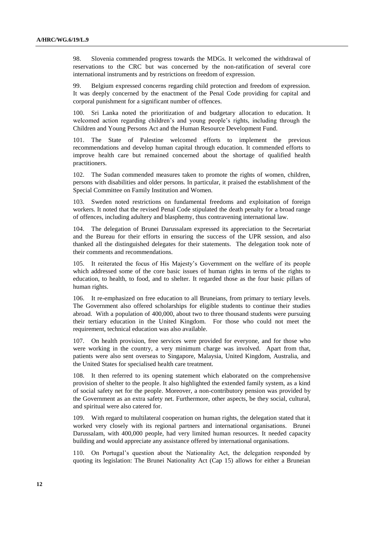98. Slovenia commended progress towards the MDGs. It welcomed the withdrawal of reservations to the CRC but was concerned by the non-ratification of several core international instruments and by restrictions on freedom of expression.

99. Belgium expressed concerns regarding child protection and freedom of expression. It was deeply concerned by the enactment of the Penal Code providing for capital and corporal punishment for a significant number of offences.

100. Sri Lanka noted the prioritization of and budgetary allocation to education. It welcomed action regarding children's and young people's rights, including through the Children and Young Persons Act and the Human Resource Development Fund.

101. The State of Palestine welcomed efforts to implement the previous recommendations and develop human capital through education. It commended efforts to improve health care but remained concerned about the shortage of qualified health practitioners.

102. The Sudan commended measures taken to promote the rights of women, children, persons with disabilities and older persons. In particular, it praised the establishment of the Special Committee on Family Institution and Women.

103. Sweden noted restrictions on fundamental freedoms and exploitation of foreign workers. It noted that the revised Penal Code stipulated the death penalty for a broad range of offences, including adultery and blasphemy, thus contravening international law.

104. The delegation of Brunei Darussalam expressed its appreciation to the Secretariat and the Bureau for their efforts in ensuring the success of the UPR session, and also thanked all the distinguished delegates for their statements. The delegation took note of their comments and recommendations.

105. It reiterated the focus of His Majesty's Government on the welfare of its people which addressed some of the core basic issues of human rights in terms of the rights to education, to health, to food, and to shelter. It regarded those as the four basic pillars of human rights.

106. It re-emphasized on free education to all Bruneians, from primary to tertiary levels. The Government also offered scholarships for eligible students to continue their studies abroad. With a population of 400,000, about two to three thousand students were pursuing their tertiary education in the United Kingdom. For those who could not meet the requirement, technical education was also available.

107. On health provision, free services were provided for everyone, and for those who were working in the country, a very minimum charge was involved. Apart from that, patients were also sent overseas to Singapore, Malaysia, United Kingdom, Australia, and the United States for specialised health care treatment.

108. It then referred to its opening statement which elaborated on the comprehensive provision of shelter to the people. It also highlighted the extended family system, as a kind of social safety net for the people. Moreover, a non-contributory pension was provided by the Government as an extra safety net. Furthermore, other aspects, be they social, cultural, and spiritual were also catered for.

109. With regard to multilateral cooperation on human rights, the delegation stated that it worked very closely with its regional partners and international organisations. Brunei Darussalam, with 400,000 people, had very limited human resources. It needed capacity building and would appreciate any assistance offered by international organisations.

110. On Portugal's question about the Nationality Act, the delegation responded by quoting its legislation: The Brunei Nationality Act (Cap 15) allows for either a Bruneian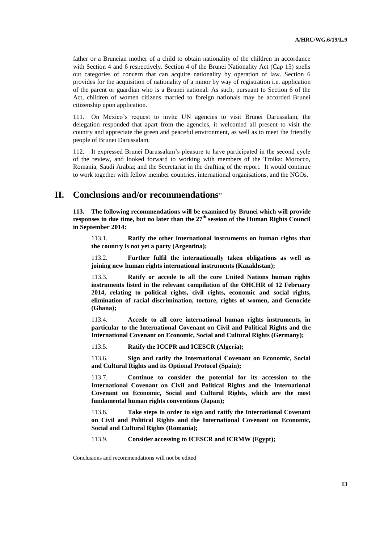father or a Bruneian mother of a child to obtain nationality of the children in accordance with Section 4 and 6 respectively. Section 4 of the Brunei Nationality Act (Cap 15) spells out categories of concern that can acquire nationality by operation of law. Section 6 provides for the acquisition of nationality of a minor by way of registration i.e. application of the parent or guardian who is a Brunei national. As such, pursuant to Section 6 of the Act, children of women citizens married to foreign nationals may be accorded Brunei citizenship upon application.

111. On Mexico's request to invite UN agencies to visit Brunei Darussalam, the delegation responded that apart from the agencies, it welcomed all present to visit the country and appreciate the green and peaceful environment, as well as to meet the friendly people of Brunei Darussalam.

112. It expressed Brunei Darussalam's pleasure to have participated in the second cycle of the review, and looked forward to working with members of the Troika: Morocco, Romania, Saudi Arabia; and the Secretariat in the drafting of the report. It would continue to work together with fellow member countries, international organisations, and the NGOs.

## **II. Conclusions and/or recommendations**

**113. The following recommendations will be examined by Brunei which will provide responses in due time, but no later than the 27 th session of the Human Rights Council in September 2014:**

113.1. **Ratify the other international instruments on human rights that the country is not yet a party (Argentina);**

113.2. **Further fulfil the internationally taken obligations as well as joining new human rights international instruments (Kazakhstan);**

113.3. **Ratify or accede to all the core United Nations human rights instruments listed in the relevant compilation of the OHCHR of 12 February 2014, relating to political rights, civil rights, economic and social rights, elimination of racial discrimination, torture, rights of women, and Genocide (Ghana);**

113.4. **Accede to all core international human rights instruments, in particular to the International Covenant on Civil and Political Rights and the International Covenant on Economic, Social and Cultural Rights (Germany);** 

113.5. **Ratify the ICCPR and ICESCR (Algeria);**

113.6. **Sign and ratify the International Covenant on Economic, Social and Cultural Rights and its Optional Protocol (Spain);**

113.7. **Continue to consider the potential for its accession to the International Covenant on Civil and Political Rights and the International Covenant on Economic, Social and Cultural Rights, which are the most fundamental human rights conventions (Japan);** 

113.8. **Take steps in order to sign and ratify the International Covenant on Civil and Political Rights and the International Covenant on Economic, Social and Cultural Rights (Romania);**

113.9. **Consider accessing to ICESCR and ICRMW (Egypt);**

Conclusions and recommendations will not be edited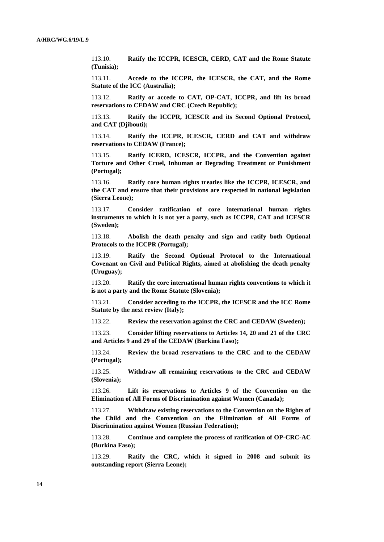113.10. **Ratify the ICCPR, ICESCR, CERD, CAT and the Rome Statute (Tunisia);**

113.11. **Accede to the ICCPR, the ICESCR, the CAT, and the Rome Statute of the ICC (Australia);**

113.12. **Ratify or accede to CAT, OP-CAT, ICCPR, and lift its broad reservations to CEDAW and CRC (Czech Republic);**

113.13. **Ratify the ICCPR, ICESCR and its Second Optional Protocol, and CAT (Djibouti);**

113.14. **Ratify the ICCPR, ICESCR, CERD and CAT and withdraw reservations to CEDAW (France);**

113.15. **Ratify ICERD, ICESCR, ICCPR, and the Convention against Torture and Other Cruel, Inhuman or Degrading Treatment or Punishment (Portugal);**

113.16. **Ratify core human rights treaties like the ICCPR, ICESCR, and the CAT and ensure that their provisions are respected in national legislation (Sierra Leone);**

113.17. **Consider ratification of core international human rights instruments to which it is not yet a party, such as ICCPR, CAT and ICESCR (Sweden);**

113.18. **Abolish the death penalty and sign and ratify both Optional Protocols to the ICCPR (Portugal);**

113.19. **Ratify the Second Optional Protocol to the International Covenant on Civil and Political Rights, aimed at abolishing the death penalty (Uruguay);** 

113.20. **Ratify the core international human rights conventions to which it is not a party and the Rome Statute (Slovenia);**

113.21. **Consider acceding to the ICCPR, the ICESCR and the ICC Rome Statute by the next review (Italy);**

113.22. **Review the reservation against the CRC and CEDAW (Sweden);**

113.23. **Consider lifting reservations to Articles 14, 20 and 21 of the CRC and Articles 9 and 29 of the CEDAW (Burkina Faso);**

113.24. **Review the broad reservations to the CRC and to the CEDAW (Portugal);**

113.25. **Withdraw all remaining reservations to the CRC and CEDAW (Slovenia);**

113.26. **Lift its reservations to Articles 9 of the Convention on the Elimination of All Forms of Discrimination against Women (Canada);**

113.27. **Withdraw existing reservations to the Convention on the Rights of the Child and the Convention on the Elimination of All Forms of Discrimination against Women (Russian Federation);**

113.28. **Continue and complete the process of ratification of OP-CRC-AC (Burkina Faso);**

113.29. **Ratify the CRC, which it signed in 2008 and submit its outstanding report (Sierra Leone);**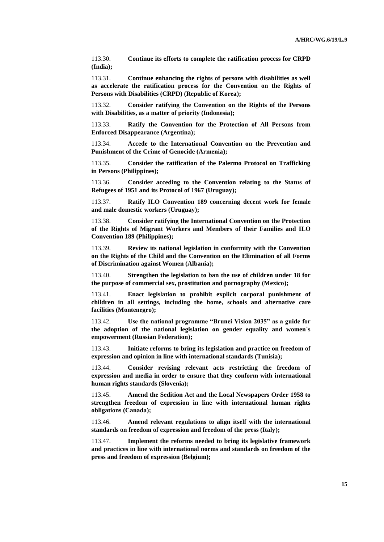113.30. **Continue its efforts to complete the ratification process for CRPD (India);**

113.31. **Continue enhancing the rights of persons with disabilities as well as accelerate the ratification process for the Convention on the Rights of Persons with Disabilities (CRPD) (Republic of Korea);**

113.32. **Consider ratifying the Convention on the Rights of the Persons with Disabilities, as a matter of priority (Indonesia);**

113.33. **Ratify the Convention for the Protection of All Persons from Enforced Disappearance (Argentina);** 

113.34. **Accede to the International Convention on the Prevention and Punishment of the Crime of Genocide (Armenia);**

113.35. **Consider the ratification of the Palermo Protocol on Trafficking in Persons (Philippines);**

113.36. **Consider acceding to the Convention relating to the Status of Refugees of 1951 and its Protocol of 1967 (Uruguay);**

113.37. **Ratify ILO Convention 189 concerning decent work for female and male domestic workers (Uruguay);**

113.38. **Consider ratifying the International Convention on the Protection of the Rights of Migrant Workers and Members of their Families and ILO Convention 189 (Philippines);**

113.39. **Review its national legislation in conformity with the Convention on the Rights of the Child and the Convention on the Elimination of all Forms of Discrimination against Women (Albania);**

113.40. **Strengthen the legislation to ban the use of children under 18 for the purpose of commercial sex, prostitution and pornography (Mexico);** 

113.41. **Enact legislation to prohibit explicit corporal punishment of children in all settings, including the home, schools and alternative care facilities (Montenegro);**

113.42. **Use the national programme "Brunei Vision 2035" as a guide for the adoption of the national legislation on gender equality and women`s empowerment (Russian Federation);**

113.43. **Initiate reforms to bring its legislation and practice on freedom of expression and opinion in line with international standards (Tunisia);**

113.44. **Consider revising relevant acts restricting the freedom of expression and media in order to ensure that they conform with international human rights standards (Slovenia);**

113.45. **Amend the Sedition Act and the Local Newspapers Order 1958 to strengthen freedom of expression in line with international human rights obligations (Canada);**

113.46. **Amend relevant regulations to align itself with the international standards on freedom of expression and freedom of the press (Italy);**

113.47. **Implement the reforms needed to bring its legislative framework and practices in line with international norms and standards on freedom of the press and freedom of expression (Belgium);**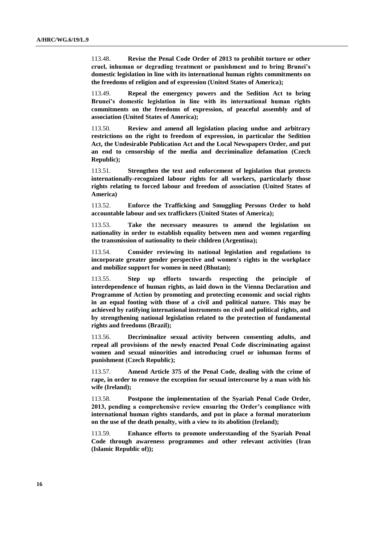113.48. **Revise the Penal Code Order of 2013 to prohibit torture or other cruel, inhuman or degrading treatment or punishment and to bring Brunei's domestic legislation in line with its international human rights commitments on the freedoms of religion and of expression (United States of America);**

113.49. **Repeal the emergency powers and the Sedition Act to bring Brunei's domestic legislation in line with its international human rights commitments on the freedoms of expression, of peaceful assembly and of association (United States of America);**

113.50. **Review and amend all legislation placing undue and arbitrary restrictions on the right to freedom of expression, in particular the Sedition Act, the Undesirable Publication Act and the Local Newspapers Order, and put an end to censorship of the media and decriminalize defamation (Czech Republic);**

113.51. **Strengthen the text and enforcement of legislation that protects internationally-recognized labour rights for all workers, particularly those rights relating to forced labour and freedom of association (United States of America)**

113.52. **Enforce the Trafficking and Smuggling Persons Order to hold accountable labour and sex traffickers (United States of America);**

113.53. **Take the necessary measures to amend the legislation on nationality in order to establish equality between men and women regarding the transmission of nationality to their children (Argentina);**

113.54. **Consider reviewing its national legislation and regulations to incorporate greater gender perspective and women's rights in the workplace and mobilize support for women in need (Bhutan);**

113.55. **Step up efforts towards respecting the principle of interdependence of human rights, as laid down in the Vienna Declaration and Programme of Action by promoting and protecting economic and social rights in an equal footing with those of a civil and political nature. This may be achieved by ratifying international instruments on civil and political rights, and by strengthening national legislation related to the protection of fundamental rights and freedoms (Brazil);**

113.56. **Decriminalize sexual activity between consenting adults, and repeal all provisions of the newly enacted Penal Code discriminating against women and sexual minorities and introducing cruel or inhuman forms of punishment (Czech Republic);**

113.57. **Amend Article 375 of the Penal Code, dealing with the crime of rape, in order to remove the exception for sexual intercourse by a man with his wife (Ireland);** 

113.58. **Postpone the implementation of the Syariah Penal Code Order, 2013, pending a comprehensive review ensuring the Order's compliance with international human rights standards, and put in place a formal moratorium on the use of the death penalty, with a view to its abolition (Ireland);**

113.59. **Enhance efforts to promote understanding of the Syariah Penal Code through awareness programmes and other relevant activities (Iran (Islamic Republic of));**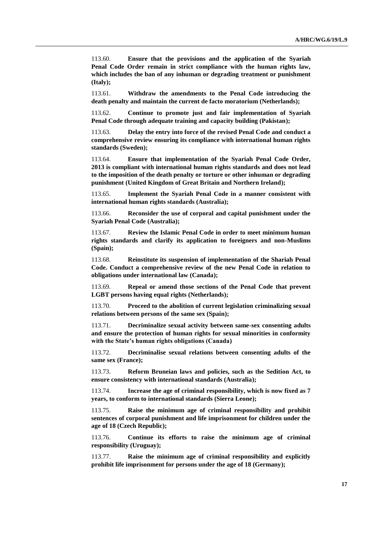113.60. **Ensure that the provisions and the application of the Syariah Penal Code Order remain in strict compliance with the human rights law, which includes the ban of any inhuman or degrading treatment or punishment (Italy);**

113.61. **Withdraw the amendments to the Penal Code introducing the death penalty and maintain the current de facto moratorium (Netherlands);**

113.62. **Continue to promote just and fair implementation of Syariah Penal Code through adequate training and capacity building (Pakistan);** 

113.63. **Delay the entry into force of the revised Penal Code and conduct a comprehensive review ensuring its compliance with international human rights standards (Sweden);**

113.64. **Ensure that implementation of the Syariah Penal Code Order, 2013 is compliant with international human rights standards and does not lead to the imposition of the death penalty or torture or other inhuman or degrading punishment (United Kingdom of Great Britain and Northern Ireland);**

113.65. **Implement the Syariah Penal Code in a manner consistent with international human rights standards (Australia);**

113.66. **Reconsider the use of corporal and capital punishment under the Syariah Penal Code (Australia);**

113.67. **Review the Islamic Penal Code in order to meet minimum human rights standards and clarify its application to foreigners and non-Muslims (Spain);**

113.68. **Reinstitute its suspension of implementation of the Shariah Penal Code. Conduct a comprehensive review of the new Penal Code in relation to obligations under international law (Canada);**

113.69. **Repeal or amend those sections of the Penal Code that prevent LGBT persons having equal rights (Netherlands);**

113.70. **Proceed to the abolition of current legislation criminalizing sexual relations between persons of the same sex (Spain);**

113.71. **Decriminalize sexual activity between same-sex consenting adults and ensure the protection of human rights for sexual minorities in conformity with the State's human rights obligations (Canada)**

113.72. **Decriminalise sexual relations between consenting adults of the same sex (France);**

113.73. **Reform Bruneian laws and policies, such as the Sedition Act, to ensure consistency with international standards (Australia);**

113.74. **Increase the age of criminal responsibility, which is now fixed as 7 years, to conform to international standards (Sierra Leone);**

113.75. **Raise the minimum age of criminal responsibility and prohibit sentences of corporal punishment and life imprisonment for children under the age of 18 (Czech Republic);**

113.76. **Continue its efforts to raise the minimum age of criminal responsibility (Uruguay);**

113.77. **Raise the minimum age of criminal responsibility and explicitly prohibit life imprisonment for persons under the age of 18 (Germany);**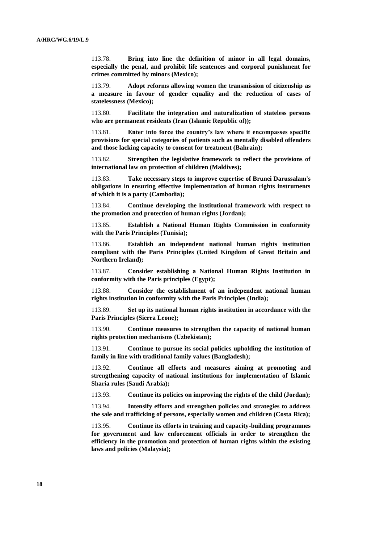113.78. **Bring into line the definition of minor in all legal domains, especially the penal, and prohibit life sentences and corporal punishment for crimes committed by minors (Mexico);** 

113.79. **Adopt reforms allowing women the transmission of citizenship as a measure in favour of gender equality and the reduction of cases of statelessness (Mexico);**

113.80. **Facilitate the integration and naturalization of stateless persons who are permanent residents (Iran (Islamic Republic of));**

113.81. **Enter into force the country's law where it encompasses specific provisions for special categories of patients such as mentally disabled offenders and those lacking capacity to consent for treatment (Bahrain);**

113.82. **Strengthen the legislative framework to reflect the provisions of international law on protection of children (Maldives);**

113.83. **Take necessary steps to improve expertise of Brunei Darussalam's obligations in ensuring effective implementation of human rights instruments of which it is a party (Cambodia);**

113.84. **Continue developing the institutional framework with respect to the promotion and protection of human rights (Jordan);**

113.85. **Establish a National Human Rights Commission in conformity with the Paris Principles (Tunisia);**

113.86. **Establish an independent national human rights institution compliant with the Paris Principles (United Kingdom of Great Britain and Northern Ireland);**

113.87. **Consider establishing a National Human Rights Institution in conformity with the Paris principles (Egypt);**

113.88. **Consider the establishment of an independent national human rights institution in conformity with the Paris Principles (India);**

113.89. **Set up its national human rights institution in accordance with the Paris Principles (Sierra Leone);**

113.90. **Continue measures to strengthen the capacity of national human rights protection mechanisms (Uzbekistan);**

113.91. **Continue to pursue its social policies upholding the institution of family in line with traditional family values (Bangladesh);**

113.92. **Continue all efforts and measures aiming at promoting and strengthening capacity of national institutions for implementation of Islamic Sharia rules (Saudi Arabia);**

113.93. **Continue its policies on improving the rights of the child (Jordan);**

113.94. **Intensify efforts and strengthen policies and strategies to address the sale and trafficking of persons, especially women and children (Costa Rica);** 

113.95. **Continue its efforts in training and capacity-building programmes for government and law enforcement officials in order to strengthen the efficiency in the promotion and protection of human rights within the existing laws and policies (Malaysia);**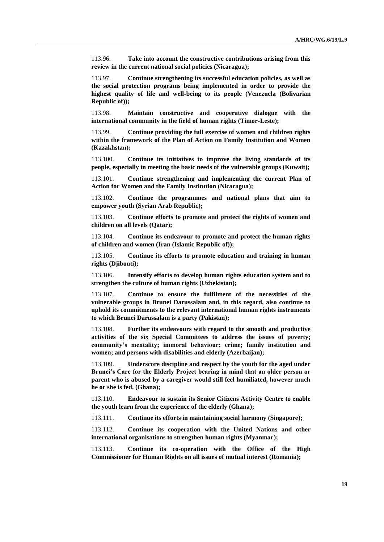113.96. **Take into account the constructive contributions arising from this review in the current national social policies (Nicaragua);**

113.97. **Continue strengthening its successful education policies, as well as the social protection programs being implemented in order to provide the highest quality of life and well-being to its people (Venezuela (Bolivarian Republic of));**

113.98. **Maintain constructive and cooperative dialogue with the international community in the field of human rights (Timor-Leste);**

113.99. **Continue providing the full exercise of women and children rights within the framework of the Plan of Action on Family Institution and Women (Kazakhstan);** 

113.100. **Continue its initiatives to improve the living standards of its people, especially in meeting the basic needs of the vulnerable groups (Kuwait);**

113.101. **Continue strengthening and implementing the current Plan of Action for Women and the Family Institution (Nicaragua);**

113.102. **Continue the programmes and national plans that aim to empower youth (Syrian Arab Republic);**

113.103. **Continue efforts to promote and protect the rights of women and children on all levels (Qatar);**

113.104. **Continue its endeavour to promote and protect the human rights of children and women (Iran (Islamic Republic of));** 

113.105. **Continue its efforts to promote education and training in human rights (Djibouti);**

113.106. **Intensify efforts to develop human rights education system and to strengthen the culture of human rights (Uzbekistan);**

113.107. **Continue to ensure the fulfilment of the necessities of the vulnerable groups in Brunei Darussalam and, in this regard, also continue to uphold its commitments to the relevant international human rights instruments to which Brunei Darussalam is a party (Pakistan);** 

113.108. **Further its endeavours with regard to the smooth and productive activities of the six Special Committees to address the issues of poverty; community's mentality; immoral behaviour; crime; family institution and women; and persons with disabilities and elderly (Azerbaijan);**

113.109. **Underscore discipline and respect by the youth for the aged under Brunei's Care for the Elderly Project bearing in mind that an older person or parent who is abused by a caregiver would still feel humiliated, however much he or she is fed. (Ghana);** 

113.110. **Endeavour to sustain its Senior Citizens Activity Centre to enable the youth learn from the experience of the elderly (Ghana);** 

113.111. **Continue its efforts in maintaining social harmony (Singapore);**

113.112. **Continue its cooperation with the United Nations and other international organisations to strengthen human rights (Myanmar);**

113.113. **Continue its co-operation with the Office of the High Commissioner for Human Rights on all issues of mutual interest (Romania);**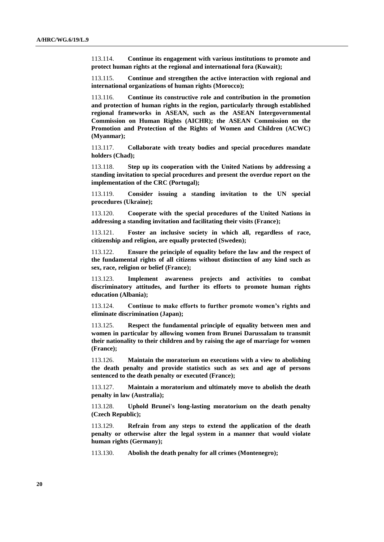113.114. **Continue its engagement with various institutions to promote and protect human rights at the regional and international fora (Kuwait);**

113.115. **Continue and strengthen the active interaction with regional and international organizations of human rights (Morocco);**

113.116. **Continue its constructive role and contribution in the promotion and protection of human rights in the region, particularly through established regional frameworks in ASEAN, such as the ASEAN Intergovernmental Commission on Human Rights (AICHR); the ASEAN Commission on the Promotion and Protection of the Rights of Women and Children (ACWC) (Myanmar);**

113.117. **Collaborate with treaty bodies and special procedures mandate holders (Chad);**

113.118. **Step up its cooperation with the United Nations by addressing a standing invitation to special procedures and present the overdue report on the implementation of the CRC (Portugal);**

113.119. **Consider issuing a standing invitation to the UN special procedures (Ukraine);**

113.120. **Cooperate with the special procedures of the United Nations in addressing a standing invitation and facilitating their visits (France);**

113.121. **Foster an inclusive society in which all, regardless of race, citizenship and religion, are equally protected (Sweden);**

113.122. **Ensure the principle of equality before the law and the respect of the fundamental rights of all citizens without distinction of any kind such as sex, race, religion or belief (France);**

113.123. **Implement awareness projects and activities to combat discriminatory attitudes, and further its efforts to promote human rights education (Albania);**

113.124. **Continue to make efforts to further promote women's rights and eliminate discrimination (Japan);** 

113.125. **Respect the fundamental principle of equality between men and women in particular by allowing women from Brunei Darussalam to transmit their nationality to their children and by raising the age of marriage for women (France);**

113.126. **Maintain the moratorium on executions with a view to abolishing the death penalty and provide statistics such as sex and age of persons sentenced to the death penalty or executed (France);**

113.127. **Maintain a moratorium and ultimately move to abolish the death penalty in law (Australia);**

113.128. **Uphold Brunei's long-lasting moratorium on the death penalty (Czech Republic);**

113.129. **Refrain from any steps to extend the application of the death penalty or otherwise alter the legal system in a manner that would violate human rights (Germany);** 

113.130. **Abolish the death penalty for all crimes (Montenegro);**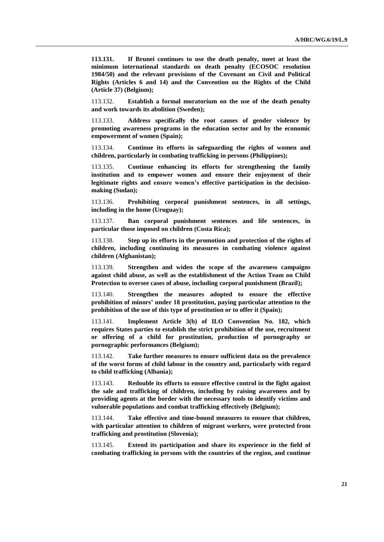**113.131. If Brunei continues to use the death penalty, meet at least the minimum international standards on death penalty (ECOSOC resolution 1984/50) and the relevant provisions of the Covenant on Civil and Political Rights (Articles 6 and 14) and the Convention on the Rights of the Child (Article 37) (Belgium);**

113.132. **Establish a formal moratorium on the use of the death penalty and work towards its abolition (Sweden);**

113.133. **Address specifically the root causes of gender violence by promoting awareness programs in the education sector and by the economic empowerment of women (Spain);**

113.134. **Continue its efforts in safeguarding the rights of women and children, particularly in combating trafficking in persons (Philippines);**

113.135. **Continue enhancing its efforts for strengthening the family institution and to empower women and ensure their enjoyment of their legitimate rights and ensure women's effective participation in the decisionmaking (Sudan);**

113.136. **Prohibiting corporal punishment sentences, in all settings, including in the home (Uruguay);** 

113.137. **Ban corporal punishment sentences and life sentences, in particular those imposed on children (Costa Rica);**

113.138. **Step up its efforts in the promotion and protection of the rights of children, including continuing its measures in combating violence against children (Afghanistan);**

113.139. **Strengthen and widen the scope of the awareness campaigns against child abuse, as well as the establishment of the Action Team on Child Protection to oversee cases of abuse, including corporal punishment (Brazil);**

113.140. **Strengthen the measures adopted to ensure the effective prohibition of minors' under 18 prostitution, paying particular attention to the prohibition of the use of this type of prostitution or to offer it (Spain);**

113.141. **Implement Article 3(b) of ILO Convention No. 182, which requires States parties to establish the strict prohibition of the use, recruitment or offering of a child for prostitution, production of pornography or pornographic performances (Belgium);**

113.142. **Take further measures to ensure sufficient data on the prevalence of the worst forms of child labour in the country and, particularly with regard to child trafficking (Albania);**

113.143. **Redouble its efforts to ensure effective control in the fight against the sale and trafficking of children, including by raising awareness and by providing agents at the border with the necessary tools to identify victims and vulnerable populations and combat trafficking effectively (Belgium);**

113.144. **Take effective and time-bound measures to ensure that children, with particular attention to children of migrant workers, were protected from trafficking and prostitution (Slovenia);**

113.145. **Extend its participation and share its experience in the field of combating trafficking in persons with the countries of the region, and continue**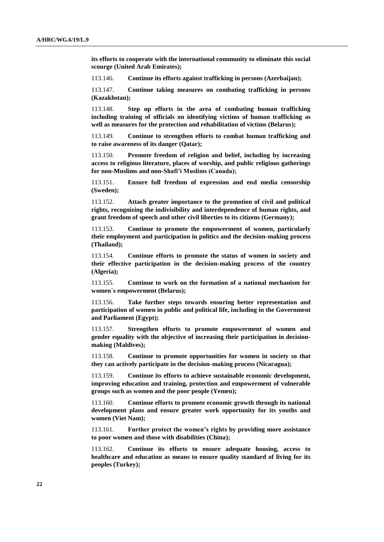**its efforts to cooperate with the international community to eliminate this social scourge (United Arab Emirates);**

113.146. **Continue its efforts against trafficking in persons (Azerbaijan);** 

113.147. **Continue taking measures on combating trafficking in persons (Kazakhstan);** 

113.148. **Step up efforts in the area of combating human trafficking including training of officials on identifying victims of human trafficking as well as measures for the protection and rehabilitation of victims (Belarus);**

113.149. **Continue to strengthen efforts to combat human trafficking and to raise awareness of its danger (Qatar);**

113.150. **Promote freedom of religion and belief, including by increasing access to religious literature, places of worship, and public religious gatherings for non-Muslims and non-Shafi'i Muslims (Canada);**

113.151. **Ensure full freedom of expression and end media censorship (Sweden);**

113.152. **Attach greater importance to the promotion of civil and political rights, recognizing the indivisibility and interdependence of human rights, and grant freedom of speech and other civil liberties to its citizens (Germany);** 

113.153. **Continue to promote the empowerment of women, particularly their employment and participation in politics and the decision-making process (Thailand);** 

113.154. **Continue efforts to promote the status of women in society and their effective participation in the decision-making process of the country (Algeria);**

113.155. **Continue to work on the formation of a national mechanism for women`s empowerment (Belarus);**

113.156. **Take further steps towards ensuring better representation and participation of women in public and political life, including in the Government and Parliament (Egypt);**

113.157. **Strengthen efforts to promote empowerment of women and gender equality with the objective of increasing their participation in decisionmaking (Maldives);**

113.158. **Continue to promote opportunities for women in society so that they can actively participate in the decision-making process (Nicaragua);**

113.159. **Continue its efforts to achieve sustainable economic development, improving education and training, protection and empowerment of vulnerable groups such as women and the poor people (Yemen);**

113.160. **Continue efforts to promote economic growth through its national development plans and ensure greater work opportunity for its youths and women (Viet Nam);**

113.161. **Further protect the women's rights by providing more assistance to poor women and those with disabilities (China);**

113.162. **Continue its efforts to ensure adequate housing, access to healthcare and education as means to ensure quality standard of living for its peoples (Turkey);**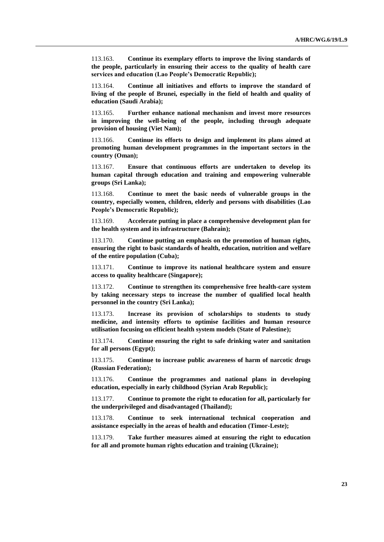113.163. **Continue its exemplary efforts to improve the living standards of the people, particularly in ensuring their access to the quality of health care services and education (Lao People's Democratic Republic);**

113.164. **Continue all initiatives and efforts to improve the standard of living of the people of Brunei, especially in the field of health and quality of education (Saudi Arabia);**

113.165. **Further enhance national mechanism and invest more resources in improving the well-being of the people, including through adequate provision of housing (Viet Nam);**

113.166. **Continue its efforts to design and implement its plans aimed at promoting human development programmes in the important sectors in the country (Oman);**

113.167. **Ensure that continuous efforts are undertaken to develop its human capital through education and training and empowering vulnerable groups (Sri Lanka);**

113.168. **Continue to meet the basic needs of vulnerable groups in the country, especially women, children, elderly and persons with disabilities (Lao People's Democratic Republic);**

113.169. **Accelerate putting in place a comprehensive development plan for the health system and its infrastructure (Bahrain);**

113.170. **Continue putting an emphasis on the promotion of human rights, ensuring the right to basic standards of health, education, nutrition and welfare of the entire population (Cuba);**

113.171. **Continue to improve its national healthcare system and ensure access to quality healthcare (Singapore);**

113.172. **Continue to strengthen its comprehensive free health-care system by taking necessary steps to increase the number of qualified local health personnel in the country (Sri Lanka);**

113.173. **Increase its provision of scholarships to students to study medicine, and intensity efforts to optimise facilities and human resource utilisation focusing on efficient health system models (State of Palestine);**

113.174. **Continue ensuring the right to safe drinking water and sanitation for all persons (Egypt);**

113.175. **Continue to increase public awareness of harm of narcotic drugs (Russian Federation);**

113.176. **Continue the programmes and national plans in developing education, especially in early childhood (Syrian Arab Republic);**

113.177. **Continue to promote the right to education for all, particularly for the underprivileged and disadvantaged (Thailand);**

113.178. **Continue to seek international technical cooperation and assistance especially in the areas of health and education (Timor-Leste);**

113.179. **Take further measures aimed at ensuring the right to education for all and promote human rights education and training (Ukraine);**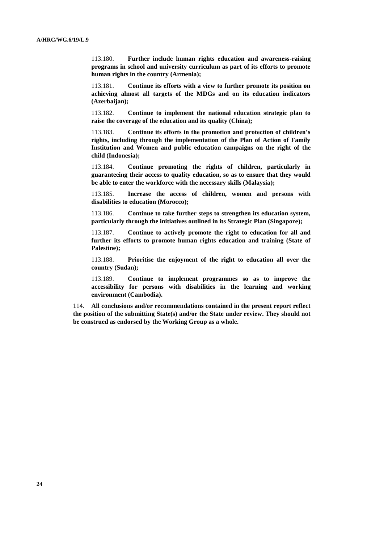113.180. **Further include human rights education and awareness-raising programs in school and university curriculum as part of its efforts to promote human rights in the country (Armenia);**

113.181. **Continue its efforts with a view to further promote its position on achieving almost all targets of the MDGs and on its education indicators (Azerbaijan);**

113.182. **Continue to implement the national education strategic plan to raise the coverage of the education and its quality (China);**

113.183. **Continue its efforts in the promotion and protection of children's rights, including through the implementation of the Plan of Action of Family Institution and Women and public education campaigns on the right of the child (Indonesia);**

113.184. **Continue promoting the rights of children, particularly in guaranteeing their access to quality education, so as to ensure that they would be able to enter the workforce with the necessary skills (Malaysia);** 

113.185. **Increase the access of children, women and persons with disabilities to education (Morocco);**

113.186. **Continue to take further steps to strengthen its education system, particularly through the initiatives outlined in its Strategic Plan (Singapore);**

113.187. **Continue to actively promote the right to education for all and further its efforts to promote human rights education and training (State of Palestine);**

113.188. **Prioritise the enjoyment of the right to education all over the country (Sudan);** 

113.189. **Continue to implement programmes so as to improve the accessibility for persons with disabilities in the learning and working environment (Cambodia).**

114. **All conclusions and/or recommendations contained in the present report reflect the position of the submitting State(s) and/or the State under review. They should not be construed as endorsed by the Working Group as a whole.**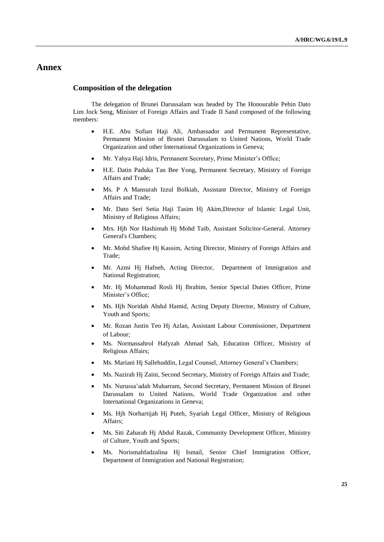## **Annex**

## **Composition of the delegation**

The delegation of Brunei Darussalam was headed by The Honourable Pehin Dato Lim Jock Seng, Minister of Foreign Affairs and Trade II Sand composed of the following members:

- H.E. Abu Sufian Haji Ali, Ambassador and Permanent Representative, Permanent Mission of Brunei Darussalam to United Nations, World Trade Organization and other International Organizations in Geneva;
- Mr. Yahya Haji Idris, Permanent Secretary, Prime Minister's Office;
- H.E. Datin Paduka Tan Bee Yong, Permanent Secretary, Ministry of Foreign Affairs and Trade;
- Ms. P A Mansurah Izzul Bolkiah, Assistant Director, Ministry of Foreign Affairs and Trade;
- Mr. Dato Seri Setia Haji Tasim Hj Akim,Director of Islamic Legal Unit, Ministry of Religious Affairs;
- Mrs. Hjh Nor Hashimah Hj Mohd Taib, Assistant Solicitor-General. Attorney General's Chambers;
- Mr. Mohd Shafiee Hj Kassim, Acting Director, Ministry of Foreign Affairs and Trade;
- Mr. Azmi Hj Hafneh, Acting Director, Department of Immigration and National Registration;
- Mr. Hj Mohammad Rosli Hj Ibrahim, Senior Special Duties Officer, Prime Minister's Office;
- Ms. Hjh Noridah Abdul Hamid, Acting Deputy Director, Ministry of Culture, Youth and Sports;
- Mr. Rozan Justin Teo Hj Azlan, Assistant Labour Commissioner, Department of Labour;
- Ms. Normassahrol Hafyzah Ahmad Sah, Education Officer, Ministry of Religious Affairs;
- Ms. Mariani Hj Sallehuddin, Legal Counsel, Attorney General's Chambers;
- Ms. Nazirah Hj Zaini, Second Secretary, Ministry of Foreign Affairs and Trade;
- Ms. Nurussa'adah Muharram, Second Secretary, Permanent Mission of Brunei Darussalam to United Nations, World Trade Organization and other International Organizations in Geneva;
- Ms. Hjh Norhartijah Hj Puteh, Syariah Legal Officer, Ministry of Religious Affairs;
- Ms. Siti Zaharah Hj Abdul Razak, Community Development Officer, Ministry of Culture, Youth and Sports;
- Ms. Norismahfadzalina Hj Ismail, Senior Chief Immigration Officer, Department of Immigration and National Registration;